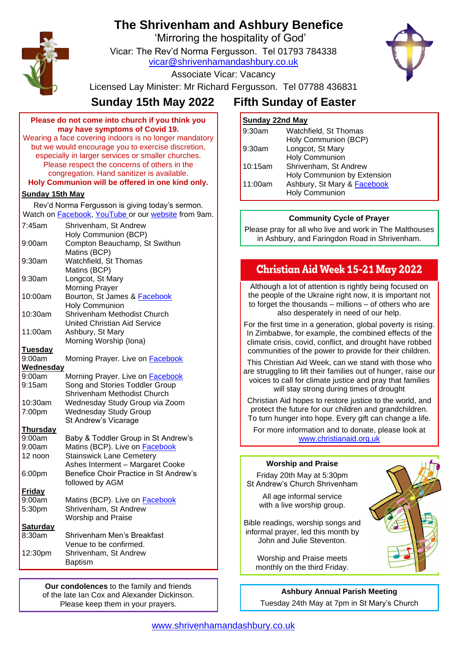# **The Shrivenham and Ashbury Benefice**

'Mirroring the hospitality of God'

Vicar: The Rev'd Norma Fergusson. Tel 01793 784338 [vicar@shrivenhamandashbury.co.uk](mailto:vicar@shrivenhamandashbury.co.uk)



Associate Vicar: Vacancy

Licensed Lay Minister: Mr Richard Fergusson. Tel 07788 436831

# **Sunday 15th May 2022 Fifth Sunday of Easter**

| Please do not come into church if you think you        |
|--------------------------------------------------------|
| may have symptoms of Covid 19.                         |
| Wearing a face covering indoors is no longer mandatory |
| but we would encourage you to exercise discretion,     |
| especially in larger services or smaller churches.     |
| Please respect the concerns of others in the           |
| congregation. Hand sanitizer is available.             |
| Holy Communion will be offered in one kind only.       |

### **Sunday 15th May**

Rev'd Norma Fergusson is giving today's sermon. Watch on **Facebook**, [YouTube](https://www.youtube.com/channel/UCEggTi-rB5GB9AQzwETv4-Q/videos) or our [website](http://www.shrivenhamandashbury.co.uk/) from 9am.

| 7:45am           | Shrivenham, St Andrew                   |
|------------------|-----------------------------------------|
|                  | Holy Communion (BCP)                    |
| 9:00am           | Compton Beauchamp, St Swithun           |
|                  | Matins (BCP)                            |
| $9:30$ am        | Watchfield, St Thomas                   |
|                  | Matins (BCP)                            |
| 9:30am           | Longcot, St Mary                        |
|                  | <b>Morning Prayer</b>                   |
| 10:00am          | Bourton, St James & Facebook            |
|                  | <b>Holy Communion</b>                   |
| 10:30am          | Shrivenham Methodist Church             |
|                  | <b>United Christian Aid Service</b>     |
| 11:00am          | Ashbury, St Mary                        |
|                  | Morning Worship (Iona)                  |
| <b>Tuesday</b>   |                                         |
| 9:00am           | Morning Prayer. Live on <b>Facebook</b> |
| <b>Wednesday</b> |                                         |
| 9:00am           | Morning Prayer. Live on <b>Facebook</b> |
| 9:15am           | Song and Stories Toddler Group          |
|                  | Shrivenham Methodist Church             |
| 10:30am          | Wednesday Study Group via Zoom          |
| 7:00pm           | <b>Wednesday Study Group</b>            |
|                  | St Andrew's Vicarage                    |
| <b>Thursday</b>  |                                         |
| 9:00am           | Baby & Toddler Group in St Andrew's     |
| 9:00am           | Matins (BCP). Live on <b>Facebook</b>   |
| 12 noon          | <b>Stainswick Lane Cemetery</b>         |
|                  | Ashes Interment - Margaret Cooke        |
| 6:00pm           | Benefice Choir Practice in St Andrew's  |
|                  | followed by AGM                         |
| <b>Friday</b>    |                                         |
| 9:00am           | Matins (BCP). Live on <b>Facebook</b>   |
| 5:30pm           | Shrivenham, St Andrew                   |
|                  | <b>Worship and Praise</b>               |
| <b>Saturday</b>  |                                         |
| 8:30am           | Shrivenham Men's Breakfast              |
|                  | Venue to be confirmed.                  |
| 12:30pm          | Shrivenham, St Andrew                   |
|                  | <b>Baptism</b>                          |
|                  |                                         |

**Our condolences** to the family and friends of the late Ian Cox and Alexander Dickinson. Please keep them in your prayers.

## **Sunday 22nd May**

| 9:30am  | Watchfield, St Thomas                                                               |
|---------|-------------------------------------------------------------------------------------|
| 9:30am  | Holy Communion (BCP)<br>Longcot, St Mary                                            |
|         | <b>Holy Communion</b>                                                               |
| 10:15am | Shrivenham, St Andrew                                                               |
| 11:00am | Holy Communion by Extension<br>Ashbury, St Mary & Facebook<br><b>Holy Communion</b> |

### **Community Cycle of Prayer**

Please pray for all who live and work in The Malthouses in Ashbury, and Faringdon Road in Shrivenham.

# **Christian Aid Week 15-21 May 2022**

Although a lot of attention is rightly being focused on the people of the Ukraine right now, it is important not to forget the thousands – millions – of others who are also desperately in need of our help.

For the first time in a generation, global poverty is rising. In Zimbabwe, for example, the combined effects of the climate crisis, covid, conflict, and drought have robbed communities of the power to provide for their children.

This Christian Aid Week, can we stand with those who are struggling to lift their families out of hunger, raise our voices to call for climate justice and pray that families will stay strong during times of drought

Christian Aid hopes to restore justice to the world, and protect the future for our children and grandchildren. To turn hunger into hope. Every gift can change a life.

For more information and to donate, please look at [www.christianaid.org.uk](https://www.christianaid.org.uk/appeals/key-appeals/christian-aid-week)

#### **Worship and Praise**

Friday 20th May at 5:30pm St Andrew's Church Shrivenham

All age informal service with a live worship group.

Bible readings, worship songs and informal prayer, led this month by John and Julie Steventon.

Worship and Praise meets monthly on the third Friday.



**Ashbury Annual Parish Meeting** Tuesday 24th May at 7pm in St Mary's Church